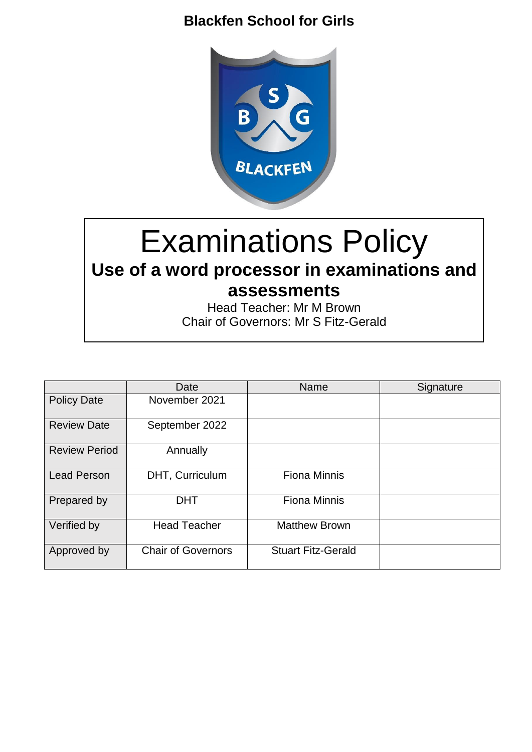

# Examinations Policy **Use of a word processor in examinations and assessments**

Head Teacher: Mr M Brown Chair of Governors: Mr S Fitz-Gerald

|                      | Date                      | <b>Name</b>               | Signature |
|----------------------|---------------------------|---------------------------|-----------|
| <b>Policy Date</b>   | November 2021             |                           |           |
| <b>Review Date</b>   | September 2022            |                           |           |
| <b>Review Period</b> | Annually                  |                           |           |
| <b>Lead Person</b>   | DHT, Curriculum           | <b>Fiona Minnis</b>       |           |
| Prepared by          | <b>DHT</b>                | <b>Fiona Minnis</b>       |           |
| Verified by          | <b>Head Teacher</b>       | <b>Matthew Brown</b>      |           |
| Approved by          | <b>Chair of Governors</b> | <b>Stuart Fitz-Gerald</b> |           |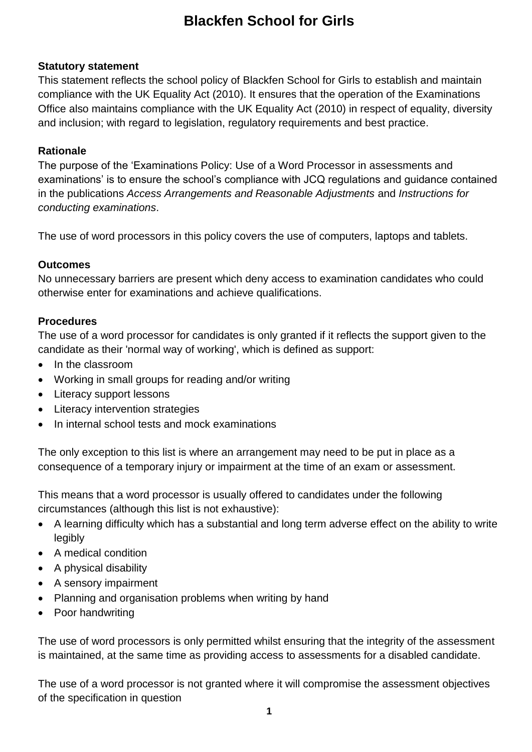#### **Statutory statement**

This statement reflects the school policy of Blackfen School for Girls to establish and maintain compliance with the UK Equality Act (2010). It ensures that the operation of the Examinations Office also maintains compliance with the UK Equality Act (2010) in respect of equality, diversity and inclusion; with regard to legislation, regulatory requirements and best practice.

#### **Rationale**

The purpose of the 'Examinations Policy: Use of a Word Processor in assessments and examinations' is to ensure the school's compliance with JCQ regulations and guidance contained in the publications *Access Arrangements and Reasonable Adjustments* and *Instructions for conducting examinations*.

The use of word processors in this policy covers the use of computers, laptops and tablets.

#### **Outcomes**

No unnecessary barriers are present which deny access to examination candidates who could otherwise enter for examinations and achieve qualifications.

#### **Procedures**

The use of a word processor for candidates is only granted if it reflects the support given to the candidate as their 'normal way of working', which is defined as support:

- In the classroom
- Working in small groups for reading and/or writing
- Literacy support lessons
- Literacy intervention strategies
- In internal school tests and mock examinations

The only exception to this list is where an arrangement may need to be put in place as a consequence of a temporary injury or impairment at the time of an exam or assessment.

This means that a word processor is usually offered to candidates under the following circumstances (although this list is not exhaustive):

- A learning difficulty which has a substantial and long term adverse effect on the ability to write legibly
- A medical condition
- A physical disability
- A sensory impairment
- Planning and organisation problems when writing by hand
- Poor handwriting

The use of word processors is only permitted whilst ensuring that the integrity of the assessment is maintained, at the same time as providing access to assessments for a disabled candidate.

The use of a word processor is not granted where it will compromise the assessment objectives of the specification in question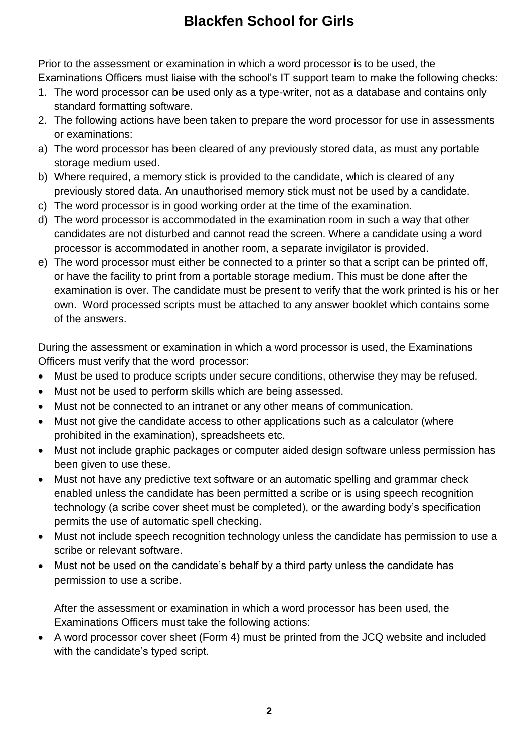Prior to the assessment or examination in which a word processor is to be used, the Examinations Officers must liaise with the school's IT support team to make the following checks:

- 1. The word processor can be used only as a type-writer, not as a database and contains only standard formatting software.
- 2. The following actions have been taken to prepare the word processor for use in assessments or examinations:
- a) The word processor has been cleared of any previously stored data, as must any portable storage medium used.
- b) Where required, a memory stick is provided to the candidate, which is cleared of any previously stored data. An unauthorised memory stick must not be used by a candidate.
- c) The word processor is in good working order at the time of the examination.
- d) The word processor is accommodated in the examination room in such a way that other candidates are not disturbed and cannot read the screen. Where a candidate using a word processor is accommodated in another room, a separate invigilator is provided.
- e) The word processor must either be connected to a printer so that a script can be printed off, or have the facility to print from a portable storage medium. This must be done after the examination is over. The candidate must be present to verify that the work printed is his or her own. Word processed scripts must be attached to any answer booklet which contains some of the answers.

During the assessment or examination in which a word processor is used, the Examinations Officers must verify that the word processor:

- Must be used to produce scripts under secure conditions, otherwise they may be refused.
- Must not be used to perform skills which are being assessed.
- Must not be connected to an intranet or any other means of communication.
- Must not give the candidate access to other applications such as a calculator (where prohibited in the examination), spreadsheets etc.
- Must not include graphic packages or computer aided design software unless permission has been given to use these.
- Must not have any predictive text software or an automatic spelling and grammar check enabled unless the candidate has been permitted a scribe or is using speech recognition technology (a scribe cover sheet must be completed), or the awarding body's specification permits the use of automatic spell checking.
- Must not include speech recognition technology unless the candidate has permission to use a scribe or relevant software.
- Must not be used on the candidate's behalf by a third party unless the candidate has permission to use a scribe.

After the assessment or examination in which a word processor has been used, the Examinations Officers must take the following actions:

 A word processor cover sheet (Form 4) must be printed from the JCQ website and included with the candidate's typed script.